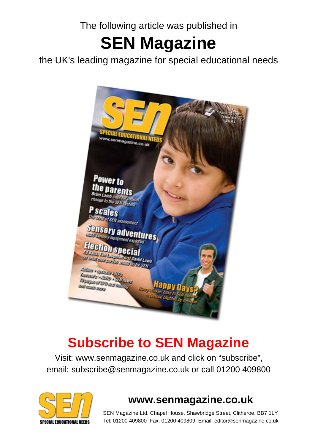The following article was published in

# **SEN Magazine**

the UK's leading magazine for special educational needs



## **Subscribe to SEN Magazine**

Visit: www.senmagazine.co.uk and click on "subscribe", email: subscribe@senmagazine.co.uk or call 01200 409800



## **www.senmagazine.co.uk**

SEN Magazine Ltd. Chapel House, Shawbridge Street, Clitheroe, BB7 1LY Tel: 01200 409800 Fax: 01200 409809 Email: editor@senmagazine.co.uk